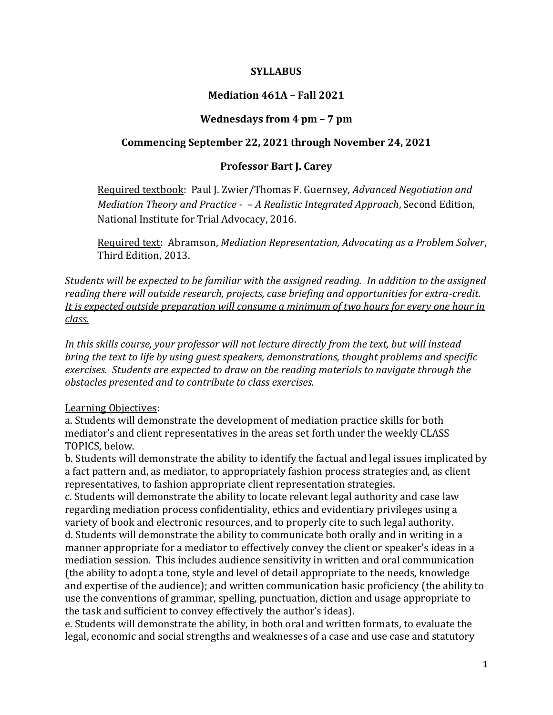## **SYLLABUS**

## **Mediation 461A – Fall 2021**

#### **Wednesdays from 4 pm – 7 pm**

## **Commencing September 22, 2021 through November 24, 2021**

## **Professor Bart J. Carey**

Required textbook: Paul J. Zwier/Thomas F. Guernsey, *Advanced Negotiation and Mediation Theory and Practice - – A Realistic Integrated Approach*, Second Edition, National Institute for Trial Advocacy, 2016.

Required text: Abramson, *Mediation Representation, Advocating as a Problem Solver*, Third Edition, 2013.

*Students will be expected to be familiar with the assigned reading. In addition to the assigned reading there will outside research, projects, case briefing and opportunities for extra-credit. It is expected outside preparation will consume a minimum of two hours for every one hour in class.*

*In this skills course, your professor will not lecture directly from the text, but will instead bring the text to life by using guest speakers, demonstrations, thought problems and specific exercises. Students are expected to draw on the reading materials to navigate through the obstacles presented and to contribute to class exercises.* 

#### Learning Objectives:

a. Students will demonstrate the development of mediation practice skills for both mediator's and client representatives in the areas set forth under the weekly CLASS TOPICS, below.

b. Students will demonstrate the ability to identify the factual and legal issues implicated by a fact pattern and, as mediator, to appropriately fashion process strategies and, as client representatives, to fashion appropriate client representation strategies.

c. Students will demonstrate the ability to locate relevant legal authority and case law regarding mediation process confidentiality, ethics and evidentiary privileges using a variety of book and electronic resources, and to properly cite to such legal authority. d. Students will demonstrate the ability to communicate both orally and in writing in a manner appropriate for a mediator to effectively convey the client or speaker's ideas in a mediation session. This includes audience sensitivity in written and oral communication (the ability to adopt a tone, style and level of detail appropriate to the needs, knowledge and expertise of the audience); and written communication basic proficiency (the ability to use the conventions of grammar, spelling, punctuation, diction and usage appropriate to the task and sufficient to convey effectively the author's ideas).

e. Students will demonstrate the ability, in both oral and written formats, to evaluate the legal, economic and social strengths and weaknesses of a case and use case and statutory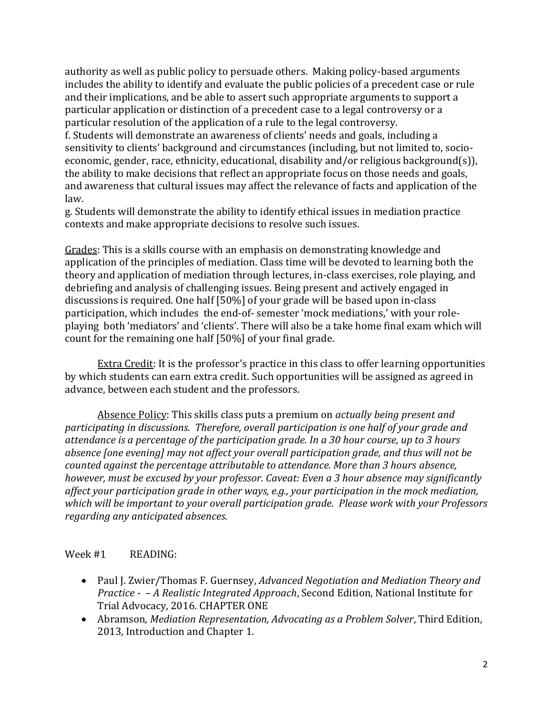authority as well as public policy to persuade others. Making policy-based arguments includes the ability to identify and evaluate the public policies of a precedent case or rule and their implications, and be able to assert such appropriate arguments to support a particular application or distinction of a precedent case to a legal controversy or a particular resolution of the application of a rule to the legal controversy.

f. Students will demonstrate an awareness of clients' needs and goals, including a sensitivity to clients' background and circumstances (including, but not limited to, socioeconomic, gender, race, ethnicity, educational, disability and/or religious background(s)), the ability to make decisions that reflect an appropriate focus on those needs and goals, and awareness that cultural issues may affect the relevance of facts and application of the law.

g. Students will demonstrate the ability to identify ethical issues in mediation practice contexts and make appropriate decisions to resolve such issues.

Grades: This is a skills course with an emphasis on demonstrating knowledge and application of the principles of mediation. Class time will be devoted to learning both the theory and application of mediation through lectures, in-class exercises, role playing, and debriefing and analysis of challenging issues. Being present and actively engaged in discussions is required. One half [50%] of your grade will be based upon in-class participation, which includes the end-of- semester 'mock mediations,' with your roleplaying both 'mediators' and 'clients'. There will also be a take home final exam which will count for the remaining one half [50%] of your final grade.

Extra Credit: It is the professor's practice in this class to offer learning opportunities by which students can earn extra credit. Such opportunities will be assigned as agreed in advance, between each student and the professors.

Absence Policy: This skills class puts a premium on *actually being present and participating in discussions. Therefore, overall participation is one half of your grade and attendance is a percentage of the participation grade. In a 30 hour course, up to 3 hours absence [one evening] may not affect your overall participation grade, and thus will not be counted against the percentage attributable to attendance. More than 3 hours absence, however, must be excused by your professor. Caveat: Even a 3 hour absence may significantly affect your participation grade in other ways, e.g., your participation in the mock mediation, which will be important to your overall participation grade. Please work with your Professors regarding any anticipated absences.* 

## Week #1 READING:

- Paul J. Zwier/Thomas F. Guernsey, *Advanced Negotiation and Mediation Theory and Practice - – A Realistic Integrated Approach*, Second Edition, National Institute for Trial Advocacy, 2016. CHAPTER ONE
- Abramson, *Mediation Representation, Advocating as a Problem Solver*, Third Edition, 2013, Introduction and Chapter 1.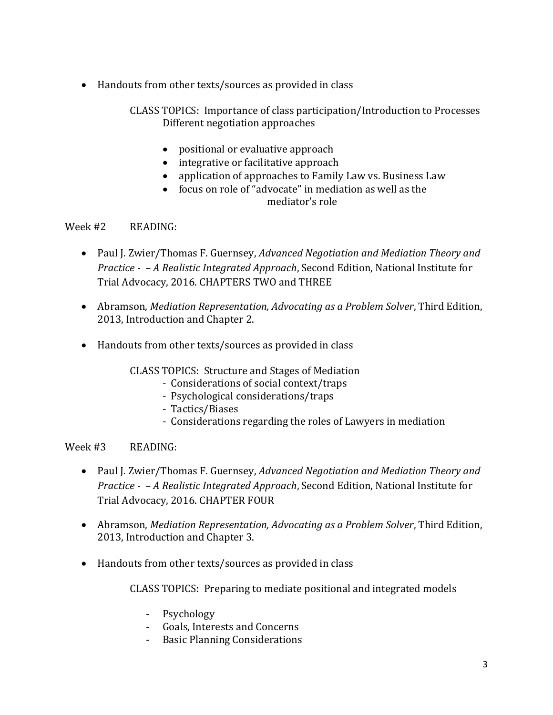Handouts from other texts/sources as provided in class

 CLASS TOPICS: Importance of class participation/Introduction to Processes Different negotiation approaches

- positional or evaluative approach
- integrative or facilitative approach
- application of approaches to Family Law vs. Business Law
- focus on role of "advocate" in mediation as well as the mediator's role

# Week #2 READING:

- Paul J. Zwier/Thomas F. Guernsey, *Advanced Negotiation and Mediation Theory and Practice - – A Realistic Integrated Approach*, Second Edition, National Institute for Trial Advocacy, 2016. CHAPTERS TWO and THREE
- Abramson, *Mediation Representation, Advocating as a Problem Solver*, Third Edition, 2013, Introduction and Chapter 2.
- Handouts from other texts/sources as provided in class

CLASS TOPICS: Structure and Stages of Mediation

- Considerations of social context/traps
- Psychological considerations/traps
- Tactics/Biases
- Considerations regarding the roles of Lawyers in mediation

# Week #3 READING:

- Paul J. Zwier/Thomas F. Guernsey, *Advanced Negotiation and Mediation Theory and Practice - – A Realistic Integrated Approach*, Second Edition, National Institute for Trial Advocacy, 2016. CHAPTER FOUR
- Abramson, *Mediation Representation, Advocating as a Problem Solver*, Third Edition, 2013, Introduction and Chapter 3.
- Handouts from other texts/sources as provided in class

CLASS TOPICS: Preparing to mediate positional and integrated models

- Psychology
- Goals, Interests and Concerns
- Basic Planning Considerations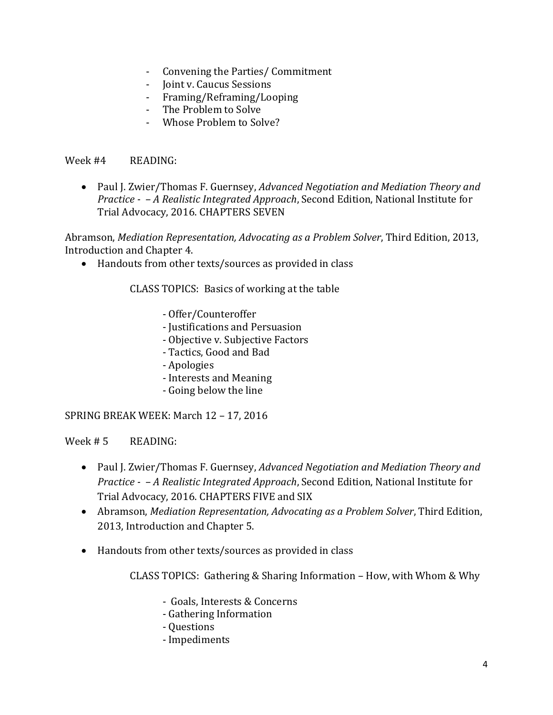- Convening the Parties/ Commitment
- Joint v. Caucus Sessions
- Framing/Reframing/Looping
- The Problem to Solve
- Whose Problem to Solve?

Week #4 READING:

 Paul J. Zwier/Thomas F. Guernsey, *Advanced Negotiation and Mediation Theory and Practice - – A Realistic Integrated Approach*, Second Edition, National Institute for Trial Advocacy, 2016. CHAPTERS SEVEN

Abramson, *Mediation Representation, Advocating as a Problem Solver*, Third Edition, 2013, Introduction and Chapter 4.

Handouts from other texts/sources as provided in class

CLASS TOPICS: Basics of working at the table

- Offer/Counteroffer
- Justifications and Persuasion
- Objective v. Subjective Factors
- Tactics, Good and Bad
- Apologies
- Interests and Meaning
- Going below the line

SPRING BREAK WEEK: March 12 – 17, 2016

Week  $# 5$  READING:

- Paul J. Zwier/Thomas F. Guernsey, *Advanced Negotiation and Mediation Theory and Practice - – A Realistic Integrated Approach*, Second Edition, National Institute for Trial Advocacy, 2016. CHAPTERS FIVE and SIX
- Abramson, *Mediation Representation, Advocating as a Problem Solver*, Third Edition, 2013, Introduction and Chapter 5.
- Handouts from other texts/sources as provided in class

CLASS TOPICS: Gathering & Sharing Information – How, with Whom & Why

- Goals, Interests & Concerns
- Gathering Information
- Questions
- Impediments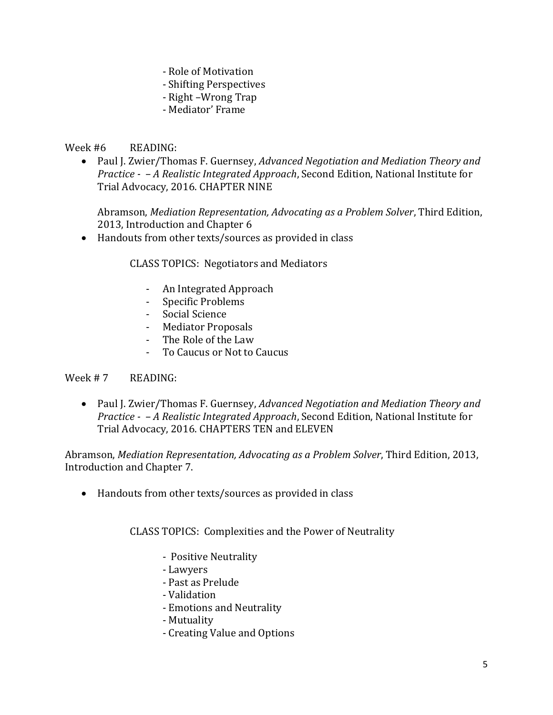- Role of Motivation
- Shifting Perspectives
- Right –Wrong Trap
- Mediator' Frame

## Week #6 READING:

 Paul J. Zwier/Thomas F. Guernsey, *Advanced Negotiation and Mediation Theory and Practice - – A Realistic Integrated Approach*, Second Edition, National Institute for Trial Advocacy, 2016. CHAPTER NINE

Abramson, *Mediation Representation, Advocating as a Problem Solver*, Third Edition, 2013, Introduction and Chapter 6

Handouts from other texts/sources as provided in class

CLASS TOPICS: Negotiators and Mediators

- An Integrated Approach
- Specific Problems
- Social Science
- Mediator Proposals
- The Role of the Law
- To Caucus or Not to Caucus

## Week # 7 READING:

 Paul J. Zwier/Thomas F. Guernsey, *Advanced Negotiation and Mediation Theory and Practice - – A Realistic Integrated Approach*, Second Edition, National Institute for Trial Advocacy, 2016. CHAPTERS TEN and ELEVEN

Abramson, *Mediation Representation, Advocating as a Problem Solver*, Third Edition, 2013, Introduction and Chapter 7.

Handouts from other texts/sources as provided in class

CLASS TOPICS: Complexities and the Power of Neutrality

- Positive Neutrality
- Lawyers
- Past as Prelude
- Validation
- Emotions and Neutrality
- Mutuality
- Creating Value and Options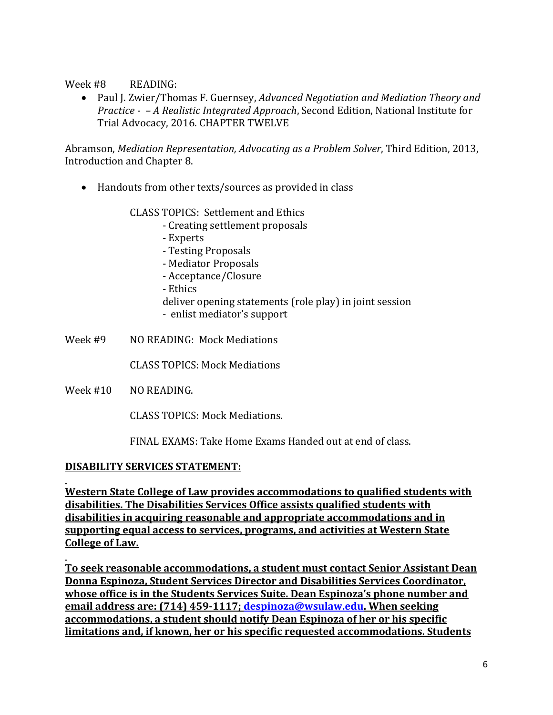Week #8 READING:

 Paul J. Zwier/Thomas F. Guernsey, *Advanced Negotiation and Mediation Theory and Practice - – A Realistic Integrated Approach*, Second Edition, National Institute for Trial Advocacy, 2016. CHAPTER TWELVE

Abramson, *Mediation Representation, Advocating as a Problem Solver*, Third Edition, 2013, Introduction and Chapter 8.

Handouts from other texts/sources as provided in class

CLASS TOPICS: Settlement and Ethics

- Creating settlement proposals
- Experts
- Testing Proposals
- Mediator Proposals
- Acceptance/Closure
- Ethics

deliver opening statements (role play) in joint session

- enlist mediator's support
- Week #9 NO READING: Mock Mediations

CLASS TOPICS: Mock Mediations

Week #10 NO READING.

CLASS TOPICS: Mock Mediations.

FINAL EXAMS: Take Home Exams Handed out at end of class.

## **DISABILITY SERVICES STATEMENT:**

**Western State College of Law provides accommodations to qualified students with disabilities. The Disabilities Services Office assists qualified students with disabilities in acquiring reasonable and appropriate accommodations and in supporting equal access to services, programs, and activities at Western State College of Law.**

**To seek reasonable accommodations, a student must contact Senior Assistant Dean Donna Espinoza, Student Services Director and Disabilities Services Coordinator, whose office is in the Students Services Suite. Dean Espinoza's phone number and email address are: (714) 459-1117; [despinoza@wsulaw.edu.](mailto:despinoza@wsulaw.edu) When seeking accommodations, a student should notify Dean Espinoza of her or his specific limitations and, if known, her or his specific requested accommodations. Students**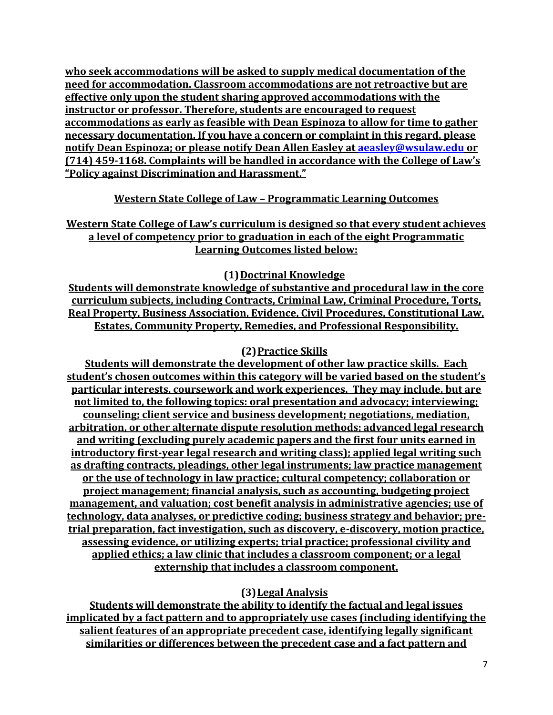**who seek accommodations will be asked to supply medical documentation of the need for accommodation. Classroom accommodations are not retroactive but are effective only upon the student sharing approved accommodations with the instructor or professor. Therefore, students are encouraged to request accommodations as early as feasible with Dean Espinoza to allow for time to gather necessary documentation. If you have a concern or complaint in this regard, please notify Dean Espinoza; or please notify Dean Allen Easley at [aeasley@wsulaw.edu](mailto:aeasley@wsulaw.edu) or (714) 459-1168. Complaints will be handled in accordance with the College of Law's "Policy against Discrimination and Harassment."**

# **Western State College of Law – Programmatic Learning Outcomes**

**Western State College of Law's curriculum is designed so that every student achieves a level of competency prior to graduation in each of the eight Programmatic Learning Outcomes listed below:**

**(1)Doctrinal Knowledge**

**Students will demonstrate knowledge of substantive and procedural law in the core curriculum subjects, including Contracts, Criminal Law, Criminal Procedure, Torts, Real Property, Business Association, Evidence, Civil Procedures, Constitutional Law, Estates, Community Property, Remedies, and Professional Responsibility.** 

## **(2)Practice Skills**

**Students will demonstrate the development of other law practice skills. Each student's chosen outcomes within this category will be varied based on the student's particular interests, coursework and work experiences. They may include, but are not limited to, the following topics: oral presentation and advocacy; interviewing; counseling; client service and business development; negotiations, mediation, arbitration, or other alternate dispute resolution methods; advanced legal research and writing (excluding purely academic papers and the first four units earned in introductory first-year legal research and writing class); applied legal writing such as drafting contracts, pleadings, other legal instruments; law practice management or the use of technology in law practice; cultural competency; collaboration or project management; financial analysis, such as accounting, budgeting project management, and valuation; cost benefit analysis in administrative agencies; use of technology, data analyses, or predictive coding; business strategy and behavior; pretrial preparation, fact investigation, such as discovery, e-discovery, motion practice, assessing evidence, or utilizing experts; trial practice; professional civility and applied ethics; a law clinic that includes a classroom component; or a legal externship that includes a classroom component.** 

# **(3)Legal Analysis**

**Students will demonstrate the ability to identify the factual and legal issues implicated by a fact pattern and to appropriately use cases (including identifying the salient features of an appropriate precedent case, identifying legally significant similarities or differences between the precedent case and a fact pattern and**